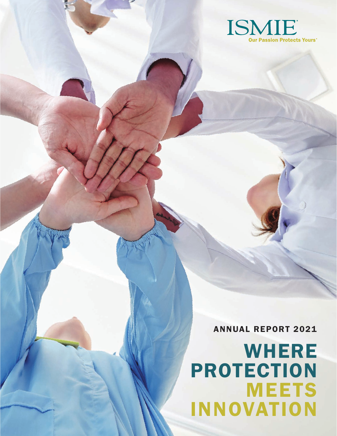

ANNUAL REPORT 2021

# **WHERE** PROTECTION MEETS INNOVATION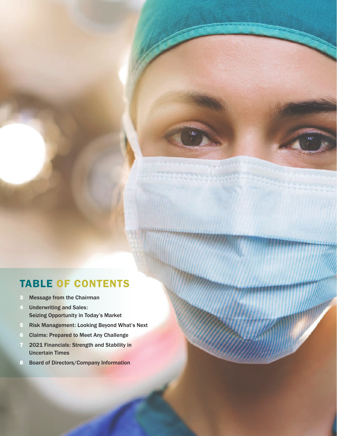### TABLE OF CONTENTS

- 3 Message from the Chairman
- 4 Underwriting and Sales: Seizing Opportunity in Today's Market
- 5 Risk Management: Looking Beyond What's Next
- 6 Claims: Prepared to Meet Any Challenge
- 7 2021 Financials: Strength and Stability in Uncertain Times
- 8 Board of Directors/Company Information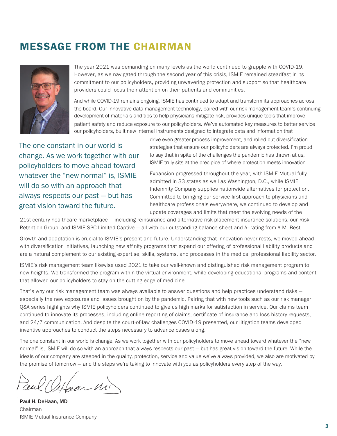# MESSAGE FROM THE CHAIRMAN



The year 2021 was demanding on many levels as the world continued to grapple with COVID-19. However, as we navigated through the second year of this crisis, ISMIE remained steadfast in its commitment to our policyholders, providing unwavering protection and support so that healthcare providers could focus their attention on their patients and communities.

And while COVID-19 remains ongoing, ISMIE has continued to adapt and transform its approaches across the board. Our innovative data management technology, paired with our risk management team's continuing development of materials and tips to help physicians mitigate risk, provides unique tools that improve patient safety and reduce exposure to our policyholders. We've automated key measures to better service our policyholders, built new internal instruments designed to integrate data and information that

The one constant in our world is change. As we work together with our policyholders to move ahead toward whatever the "new normal" is, ISMIE will do so with an approach that always respects our past — but has great vision toward the future.

drive even greater process improvement, and rolled out diversification strategies that ensure our policyholders are always protected. I'm proud to say that in spite of the challenges the pandemic has thrown at us, ISMIE truly sits at the precipice of where protection meets innovation.

Expansion progressed throughout the year, with ISMIE Mutual fully admitted in 33 states as well as Washington, D.C., while ISMIE Indemnity Company supplies nationwide alternatives for protection. Committed to bringing our service-first approach to physicians and healthcare professionals everywhere, we continued to develop and update coverages and limits that meet the evolving needs of the

21st century healthcare marketplace — including reinsurance and alternative risk placement insurance solutions, our Risk Retention Group, and ISMIE SPC Limited Captive — all with our outstanding balance sheet and A- rating from A.M. Best.

Growth and adaptation is crucial to ISMIE's present and future. Understanding that innovation never rests, we moved ahead with diversification initiatives, launching new affinity programs that expand our offering of professional liability products and are a natural complement to our existing expertise, skills, systems, and processes in the medical professional liability sector.

ISMIE's risk management team likewise used 2021 to take our well-known and distinguished risk management program to new heights. We transformed the program within the virtual environment, while developing educational programs and content that allowed our policyholders to stay on the cutting edge of medicine.

That's why our risk management team was always available to answer questions and help practices understand risks especially the new exposures and issues brought on by the pandemic. Pairing that with new tools such as our risk manager Q&A series highlights why ISMIE policyholders continued to give us high marks for satisfaction in service. Our claims team continued to innovate its processes, including online reporting of claims, certificate of insurance and loss history requests, and 24/7 communication. And despite the court-of-law challenges COVID-19 presented, our litigation teams developed inventive approaches to conduct the steps necessary to advance cases along.

The one constant in our world is change. As we work together with our policyholders to move ahead toward whatever the "new normal" is, ISMIE will do so with an approach that always respects our past — but has great vision toward the future. While the ideals of our company are steeped in the quality, protection, service and value we've always provided, we also are motivated by the promise of tomorrow — and the steps we're taking to innovate with you as policyholders every step of the way.

alfaar mi

Paul H. DeHaan, MD Chairman ISMIE Mutual Insurance Company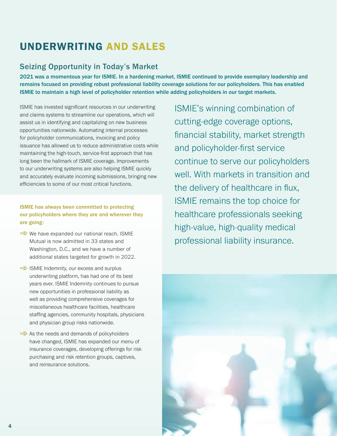# UNDERWRITING AND SALES

#### Seizing Opportunity in Today's Market

2021 was a momentous year for ISMIE. In a hardening market, ISMIE continued to provide exemplary leadership and remains focused on providing robust professional liability coverage solutions for our policyholders. This has enabled ISMIE to maintain a high level of policyholder retention while adding policyholders in our target markets.

ISMIE has invested significant resources in our underwriting and claims systems to streamline our operations, which will assist us in identifying and capitalizing on new business opportunities nationwide. Automating internal processes for policyholder communications, invoicing and policy issuance has allowed us to reduce administrative costs while maintaining the high-touch, service-first approach that has long been the hallmark of ISMIE coverage. Improvements to our underwriting systems are also helping ISMIE quickly and accurately evaluate incoming submissions, bringing new efficiencies to some of our most critical functions.

ISMIE has always been committed to protecting our policyholders where they are and wherever they are going:

- $\Rightarrow$  We have expanded our national reach. ISMIE Mutual is now admitted in 33 states and Washington, D.C., and we have a number of additional states targeted for growth in 2022.
- $\Rightarrow$  ISMIE Indemnity, our excess and surplus underwriting platform, has had one of its best years ever. ISMIE Indemnity continues to pursue new opportunities in professional liability as well as providing comprehensive coverages for miscellaneous healthcare facilities, healthcare staffing agencies, community hospitals, physicians and physician group risks nationwide.
- $\Rightarrow$  As the needs and demands of policyholders have changed, ISMIE has expanded our menu of insurance coverages, developing offerings for risk purchasing and risk retention groups, captives, and reinsurance solutions.

ISMIE's winning combination of cutting-edge coverage options, financial stability, market strength and policyholder-first service continue to serve our policyholders well. With markets in transition and the delivery of healthcare in flux, ISMIE remains the top choice for healthcare professionals seeking high-value, high-quality medical professional liability insurance.

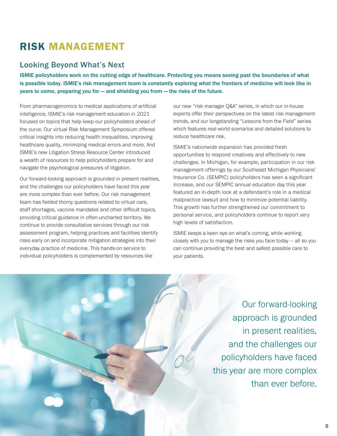# RISK MANAGEMENT

#### Looking Beyond What's Next

ISMIE policyholders work on the cutting edge of healthcare. Protecting you means seeing past the boundaries of what is possible today. ISMIE's risk management team is constantly exploring what the frontiers of medicine will look like in years to come, preparing you for — and shielding you from — the risks of the future.

From pharmacogenomics to medical applications of artificial intelligence, ISMIE's risk management education in 2021 focused on topics that help keep our policyholders ahead of the curve. Our virtual Risk Management Symposium offered critical insights into reducing health inequalities, improving healthcare quality, minimizing medical errors and more. And ISMIE's new Litigation Stress Resource Center introduced a wealth of resources to help policyholders prepare for and navigate the psychological pressures of litigation.

Our forward-looking approach is grounded in present realities, and the challenges our policyholders have faced this year are more complex than ever before. Our risk management team has fielded thorny questions related to virtual care, staff shortages, vaccine mandates and other difficult topics, providing critical guidance in often-uncharted territory. We continue to provide consultative services through our risk assessment program, helping practices and facilities identify risks early on and incorporate mitigation strategies into their everyday practice of medicine. This hands-on service to individual policyholders is complemented by resources like

our new "risk manager Q&A" series, in which our in-house experts offer their perspectives on the latest risk management trends, and our longstanding "Lessons from the Field" series which features real-world scenarios and detailed solutions to reduce healthcare risk.

ISMIE's nationwide expansion has provided fresh opportunities to respond creatively and effectively to new challenges. In Michigan, for example, participation in our risk management offerings by our Southeast Michigan Physicians' Insurance Co. (SEMPIC) policyholders has seen a significant increase, and our SEMPIC annual education day this year featured an in-depth look at a defendant's role in a medical malpractice lawsuit and how to minimize potential liability. This growth has further strengthened our commitment to personal service, and policyholders continue to report very high levels of satisfaction.

ISMIE keeps a keen eye on what's coming, while working closely with you to manage the risks you face today — all so you can continue providing the best and safest possible care to your patients.

> Our forward-looking approach is grounded in present realities, and the challenges our policyholders have faced this year are more complex than ever before.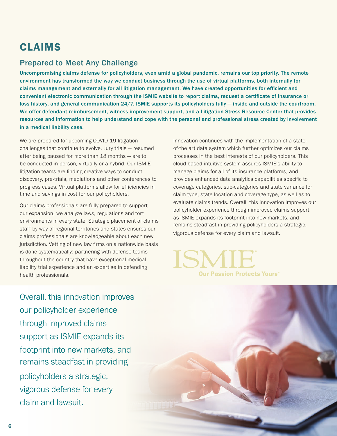## CLAIMS

#### Prepared to Meet Any Challenge

Uncompromising claims defense for policyholders, even amid a global pandemic, remains our top priority. The remote environment has transformed the way we conduct business through the use of virtual platforms, both internally for claims management and externally for all litigation management. We have created opportunities for efficient and convenient electronic communication through the ISMIE website to report claims, request a certificate of insurance or loss history, and general communication 24/7. ISMIE supports its policyholders fully — inside and outside the courtroom. We offer defendant reimbursement, witness improvement support, and a Litigation Stress Resource Center that provides resources and information to help understand and cope with the personal and professional stress created by involvement in a medical liability case.

We are prepared for upcoming COVID-19 litigation challenges that continue to evolve. Jury trials — resumed after being paused for more than 18 months — are to be conducted in-person, virtually or a hybrid. Our ISMIE litigation teams are finding creative ways to conduct discovery, pre-trials, mediations and other conferences to progress cases. Virtual platforms allow for efficiencies in time and savings in cost for our policyholders.

Our claims professionals are fully prepared to support our expansion; we analyze laws, regulations and tort environments in every state. Strategic placement of claims staff by way of regional territories and states ensures our claims professionals are knowledgeable about each new jurisdiction. Vetting of new law firms on a nationwide basis is done systematically; partnering with defense teams throughout the country that have exceptional medical liability trial experience and an expertise in defending health professionals.

Overall, this innovation improves our policyholder experience through improved claims support as ISMIE expands its footprint into new markets, and remains steadfast in providing policyholders a strategic, vigorous defense for every claim and lawsuit.

Innovation continues with the implementation of a stateof-the art data system which further optimizes our claims processes in the best interests of our policyholders. This cloud-based intuitive system assures ISMIE's ability to manage claims for all of its insurance platforms, and provides enhanced data analytics capabilities specific to coverage categories, sub-categories and state variance for claim type, state location and coverage type, as well as to evaluate claims trends. Overall, this innovation improves our policyholder experience through improved claims support as ISMIE expands its footprint into new markets, and remains steadfast in providing policyholders a strategic, vigorous defense for every claim and lawsuit.

**Our Passion Protects Yours** 

6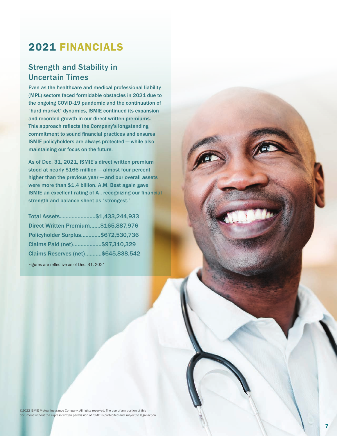### 2021 FINANCIALS

#### Strength and Stability in Uncertain Times

Even as the healthcare and medical professional liability (MPL) sectors faced formidable obstacles in 2021 due to the ongoing COVID-19 pandemic and the continuation of "hard market" dynamics, ISMIE continued its expansion and recorded growth in our direct written premiums. This approach reflects the Company's longstanding commitment to sound financial practices and ensures ISMIE policyholders are always protected — while also maintaining our focus on the future.

As of Dec. 31, 2021, ISMIE's direct written premium stood at nearly \$166 million — almost four percent higher than the previous year — and our overall assets were more than \$1.4 billion. A.M. Best again gave ISMIE an excellent rating of A-, recognizing our financial strength and balance sheet as "strongest."

| Total Assets\$1,433,244,933         |  |
|-------------------------------------|--|
| Direct Written Premium\$165,887,976 |  |
| Policyholder Surplus\$672,530,736   |  |
| Claims Paid (net)\$97,310,329       |  |
| Claims Reserves (net)\$645,838,542  |  |

Figures are reflective as of Dec. 31, 2021

©2022 ISMIE Mutual Insurance Company. All rights reserved. The use of any portion of this document without the express written permission of ISMIE is prohibited and subject to legal action.